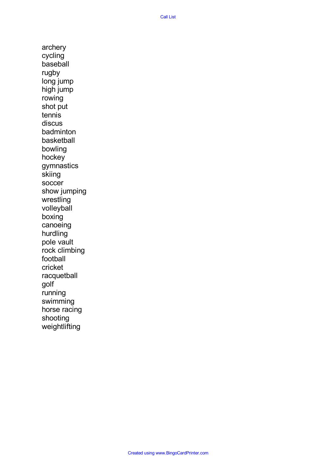archery cycling baseball rugby long jump high jump rowing shot put tennis discus badminton basketball bowling hockey gymnastics skiing soccer show jumping wrestling volleyball boxing canoeing hurdling pole vault rock climbing football cricket racquetball golf running swimming horse racing shooting weightlifting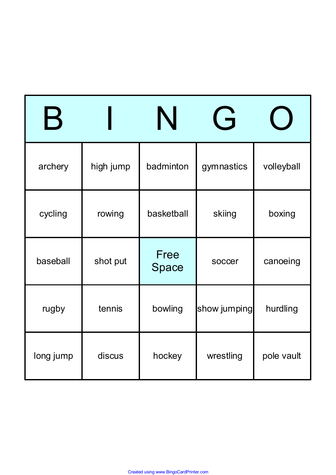| $\bm{\mathsf{B}}$ |           |               | $\overline{\mathsf{G}}$ |            |
|-------------------|-----------|---------------|-------------------------|------------|
| archery           | high jump | badminton     | gymnastics              | volleyball |
| cycling           | rowing    | basketball    | skiing                  | boxing     |
| baseball          | shot put  | Free<br>Space | soccer                  | canoeing   |
| rugby             | tennis    | bowling       | show jumping            | hurdling   |
| long jump         | discus    | hockey        | wrestling               | pole vault |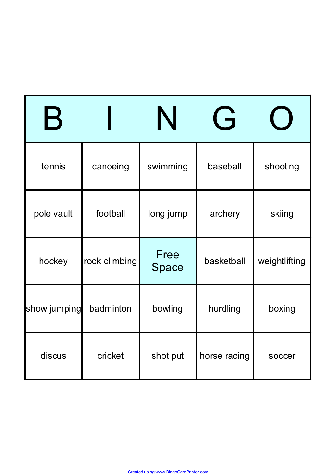| $\bm{\mathsf{B}}$ |               |               | $\overline{\mathsf{G}}$ |               |
|-------------------|---------------|---------------|-------------------------|---------------|
| tennis            | canoeing      | swimming      | baseball                | shooting      |
| pole vault        | football      | long jump     | archery                 | skiing        |
| hockey            | rock climbing | Free<br>Space | basketball              | weightlifting |
| show jumping      | badminton     | bowling       | hurdling                | boxing        |
| discus            | cricket       | shot put      | horse racing            | soccer        |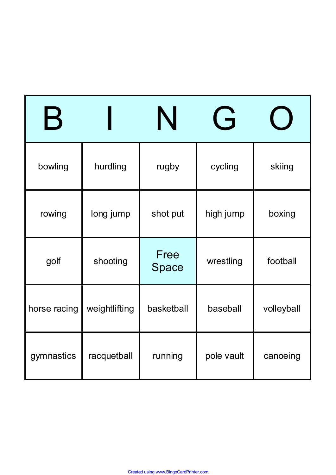| $\bm{\mathsf{B}}$ |               |               | $\overline{\mathsf{G}}$ |            |
|-------------------|---------------|---------------|-------------------------|------------|
| bowling           | hurdling      | rugby         | cycling                 | skiing     |
| rowing            | long jump     | shot put      | high jump               | boxing     |
| golf              | shooting      | Free<br>Space | wrestling               | football   |
| horse racing      | weightlifting | basketball    | baseball                | volleyball |
| gymnastics        | racquetball   | running       | pole vault              | canoeing   |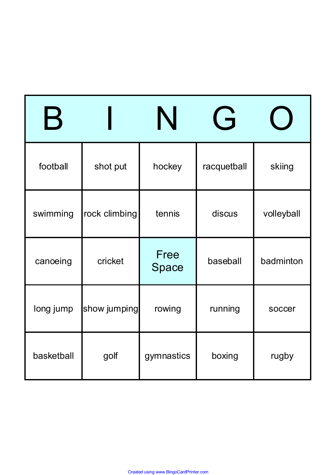| $\bm{\mathsf{B}}$ |               |               | ( <del>-</del> |            |
|-------------------|---------------|---------------|----------------|------------|
| football          | shot put      | hockey        | racquetball    | skiing     |
| swimming          | rock climbing | tennis        | discus         | volleyball |
| canoeing          | cricket       | Free<br>Space | baseball       | badminton  |
| long jump         | show jumping  | rowing        | running        | soccer     |
| basketball        | golf          | gymnastics    | boxing         | rugby      |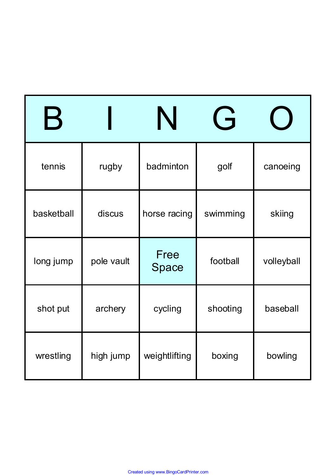| $\bm{\mathsf{B}}$ |            |               | $\overline{\mathsf{G}}$ |            |
|-------------------|------------|---------------|-------------------------|------------|
| tennis            | rugby      | badminton     | golf                    | canoeing   |
| basketball        | discus     | horse racing  | swimming                | skiing     |
| long jump         | pole vault | Free<br>Space | football                | volleyball |
| shot put          | archery    | cycling       | shooting                | baseball   |
| wrestling         | high jump  | weightlifting | boxing                  | bowling    |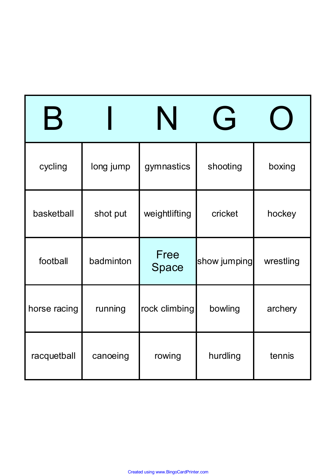| $\boldsymbol{\mathsf{B}}$ |           |               | $\overline{G}$ |           |
|---------------------------|-----------|---------------|----------------|-----------|
| cycling                   | long jump | gymnastics    | shooting       | boxing    |
| basketball                | shot put  | weightlifting | cricket        | hockey    |
| football                  | badminton | Free<br>Space | show jumping   | wrestling |
| horse racing              | running   | rock climbing | bowling        | archery   |
| racquetball               | canoeing  | rowing        | hurdling       | tennis    |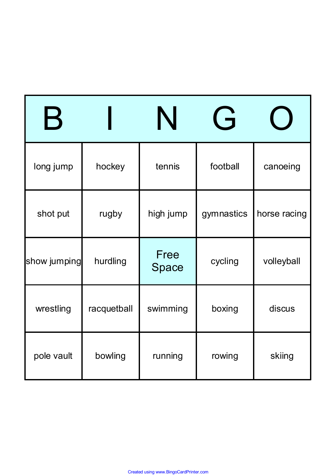| $\bm{\mathsf{B}}$ |             |               | $\overline{\mathsf{G}}$ |              |
|-------------------|-------------|---------------|-------------------------|--------------|
| long jump         | hockey      | tennis        | football                | canoeing     |
| shot put          | rugby       | high jump     | gymnastics              | horse racing |
| show jumping      | hurdling    | Free<br>Space | cycling                 | volleyball   |
| wrestling         | racquetball | swimming      | boxing                  | discus       |
| pole vault        | bowling     | running       | rowing                  | skiing       |